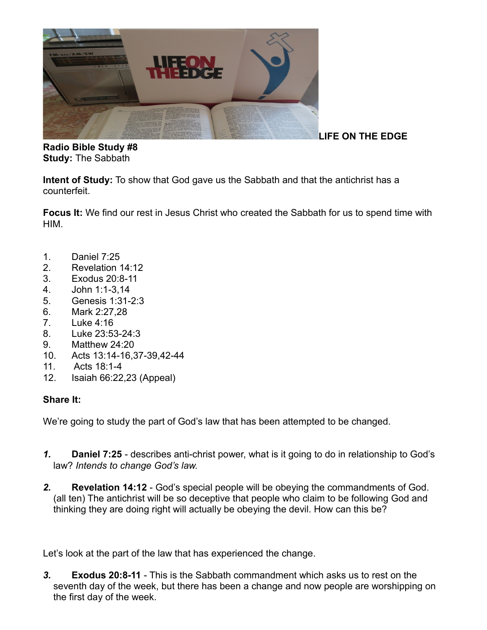

**LIFE ON THE EDGE**

**Radio Bible Study #8 Study:** The Sabbath

**Intent of Study:** To show that God gave us the Sabbath and that the antichrist has a counterfeit.

**Focus It:** We find our rest in Jesus Christ who created the Sabbath for us to spend time with HIM.

- 1. Daniel 7:25
- 2. Revelation 14:12
- 3. Exodus 20:8-11
- 4. John 1:1-3,14
- 5. Genesis 1:31-2:3
- 6. Mark 2:27,28
- 7. Luke 4:16
- 8. Luke 23:53-24:3
- 9. Matthew 24:20
- 10. Acts 13:14-16,37-39,42-44
- 11. Acts 18:1-4
- 12. Isaiah 66:22,23 (Appeal)

### **Share It:**

We're going to study the part of God's law that has been attempted to be changed.

- *1.* **Daniel 7:25** describes anti-christ power, what is it going to do in relationship to God's law? *Intends to change God's law.*
- *2.* **Revelation 14:12** God's special people will be obeying the commandments of God. (all ten) The antichrist will be so deceptive that people who claim to be following God and thinking they are doing right will actually be obeying the devil. How can this be?

Let's look at the part of the law that has experienced the change.

*3.* **Exodus 20:8-11** - This is the Sabbath commandment which asks us to rest on the seventh day of the week, but there has been a change and now people are worshipping on the first day of the week.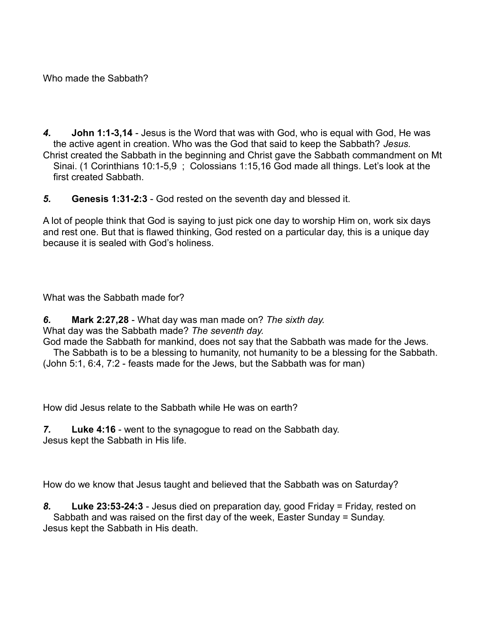Who made the Sabbath?

- *4.* **John 1:1-3,14** Jesus is the Word that was with God, who is equal with God, He was the active agent in creation. Who was the God that said to keep the Sabbath? *Jesus.* Christ created the Sabbath in the beginning and Christ gave the Sabbath commandment on Mt Sinai. (1 Corinthians 10:1-5,9 ; Colossians 1:15,16 God made all things. Let's look at the first created Sabbath
- *5.* **Genesis 1:31-2:3** God rested on the seventh day and blessed it.

A lot of people think that God is saying to just pick one day to worship Him on, work six days and rest one. But that is flawed thinking, God rested on a particular day, this is a unique day because it is sealed with God's holiness.

What was the Sabbath made for?

*6.* **Mark 2:27,28** - What day was man made on? *The sixth day.*

What day was the Sabbath made? *The seventh day.*

God made the Sabbath for mankind, does not say that the Sabbath was made for the Jews. The Sabbath is to be a blessing to humanity, not humanity to be a blessing for the Sabbath.

(John 5:1, 6:4, 7:2 - feasts made for the Jews, but the Sabbath was for man)

How did Jesus relate to the Sabbath while He was on earth?

*7.* **Luke 4:16** - went to the synagogue to read on the Sabbath day. Jesus kept the Sabbath in His life.

How do we know that Jesus taught and believed that the Sabbath was on Saturday?

*8.* **Luke 23:53-24:3** - Jesus died on preparation day, good Friday = Friday, rested on Sabbath and was raised on the first day of the week, Easter Sunday = Sunday. Jesus kept the Sabbath in His death.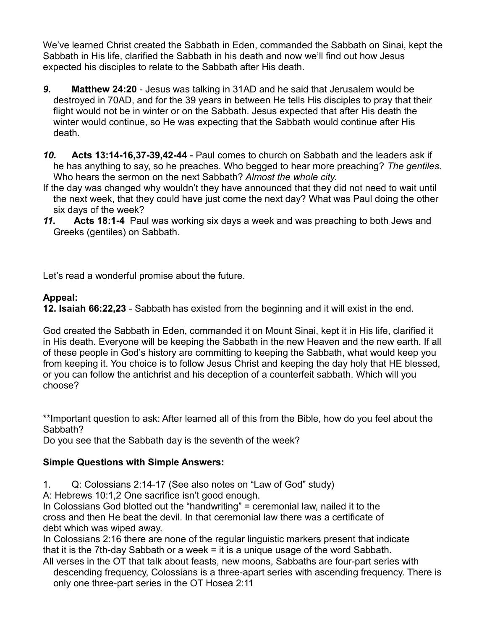We've learned Christ created the Sabbath in Eden, commanded the Sabbath on Sinai, kept the Sabbath in His life, clarified the Sabbath in his death and now we'll find out how Jesus expected his disciples to relate to the Sabbath after His death.

- *9.* **Matthew 24:20** Jesus was talking in 31AD and he said that Jerusalem would be destroyed in 70AD, and for the 39 years in between He tells His disciples to pray that their flight would not be in winter or on the Sabbath. Jesus expected that after His death the winter would continue, so He was expecting that the Sabbath would continue after His death.
- *10.* **Acts 13:14-16,37-39,42-44** Paul comes to church on Sabbath and the leaders ask if he has anything to say, so he preaches. Who begged to hear more preaching? *The gentiles.* Who hears the sermon on the next Sabbath? *Almost the whole city*.
- If the day was changed why wouldn't they have announced that they did not need to wait until the next week, that they could have just come the next day? What was Paul doing the other six days of the week?
- *11.* **Acts 18:1-4** Paul was working six days a week and was preaching to both Jews and Greeks (gentiles) on Sabbath.

Let's read a wonderful promise about the future.

# **Appeal:**

**12. Isaiah 66:22,23** - Sabbath has existed from the beginning and it will exist in the end.

God created the Sabbath in Eden, commanded it on Mount Sinai, kept it in His life, clarified it in His death. Everyone will be keeping the Sabbath in the new Heaven and the new earth. If all of these people in God's history are committing to keeping the Sabbath, what would keep you from keeping it. You choice is to follow Jesus Christ and keeping the day holy that HE blessed, or you can follow the antichrist and his deception of a counterfeit sabbath. Which will you choose?

\*\*Important question to ask: After learned all of this from the Bible, how do you feel about the Sabbath?

Do you see that the Sabbath day is the seventh of the week?

# **Simple Questions with Simple Answers:**

1. Q: Colossians 2:14-17 (See also notes on "Law of God" study)

A: Hebrews 10:1.2 One sacrifice isn't good enough.

In Colossians God blotted out the "handwriting" = ceremonial law, nailed it to the cross and then He beat the devil. In that ceremonial law there was a certificate of debt which was wiped away.

In Colossians 2:16 there are none of the regular linguistic markers present that indicate that it is the 7th-day Sabbath or a week = it is a unique usage of the word Sabbath.

All verses in the OT that talk about feasts, new moons, Sabbaths are four-part series with descending frequency, Colossians is a three-apart series with ascending frequency. There is only one three-part series in the OT Hosea 2:11